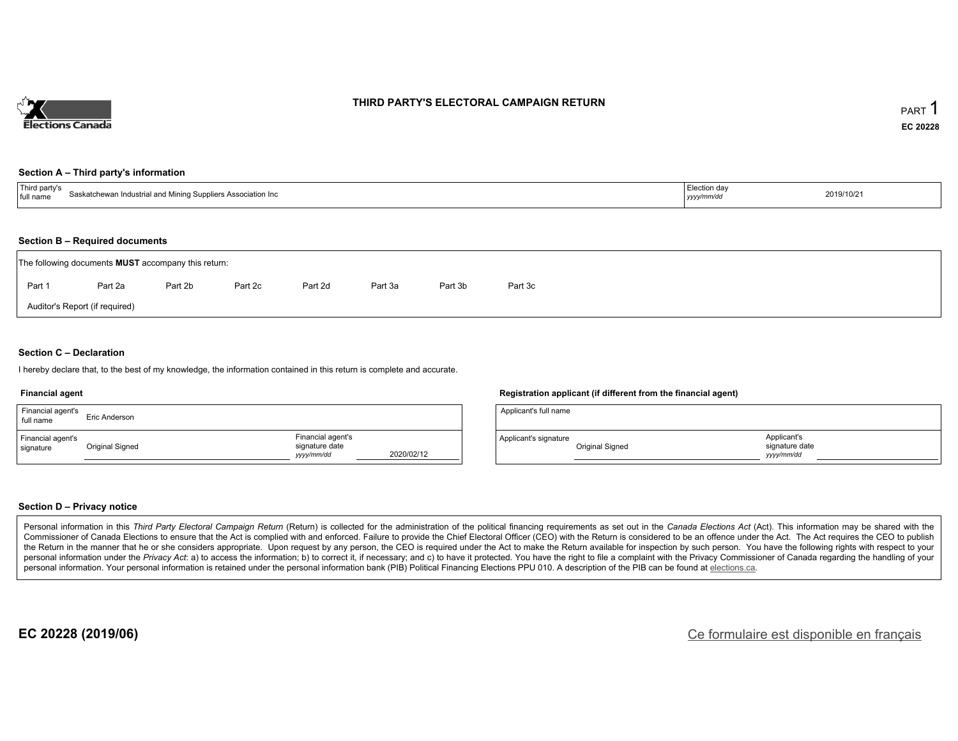

### **THIRD PARTY'S ELECTORAL CAMPAIGN RETURN**

#### **Section A – Third party's information**

| $\overline{\phantom{a}}$<br>l party's<br>Saskatchewan Industrial and Mining Suppliers Association Inc<br>full name | ction davٽٽ<br>yyyymm/aa | 2019/10/21 |
|--------------------------------------------------------------------------------------------------------------------|--------------------------|------------|
|--------------------------------------------------------------------------------------------------------------------|--------------------------|------------|

#### **Section B – Required documents**

|        | The following documents <b>MUST</b> accompany this return: |         |         |         |         |         |         |  |  |  |  |  |
|--------|------------------------------------------------------------|---------|---------|---------|---------|---------|---------|--|--|--|--|--|
| Part 1 | Part 2a                                                    | Part 2b | Part 2c | Part 2d | Part 3a | Part 3b | Part 3c |  |  |  |  |  |
|        | Auditor's Report (if required)                             |         |         |         |         |         |         |  |  |  |  |  |

### **Section C – Declaration**

I hereby declare that, to the best of my knowledge, the information contained in this return is complete and accurate.

#### **Financial agent**

| Financial agent's<br>full name | Eric Anderson   |                                                  |            |
|--------------------------------|-----------------|--------------------------------------------------|------------|
| Financial agent's<br>signature | Original Signed | Financial agent's<br>signature date<br>vyy/mm/dd | 2020/02/12 |

### **Registration applicant (if different from the financial agent)**

| Applicant's full name |                 |                                            |  |
|-----------------------|-----------------|--------------------------------------------|--|
| Applicant's signature | Original Signed | Applicant's<br>signature date<br>vyy/mm/dd |  |

### **Section D – Privacy notice**

Personal information in this Third Party Electoral Campaign Return (Return) is collected for the administration of the political financing requirements as set out in the Canada Elections Act (Act). This information may be Commissioner of Canada Elections to ensure that the Act is complied with and enforced. Failure to provide the Chief Electoral Officer (CEO) with the Return is considered to be an offence under the Act. The Act requires the the Return in the manner that he or she considers appropriate. Upon request by any person, the CEO is required under the Act to make the Return available for inspection by such person. You have the following rights with re personal information under the Privacy Act: a) to access the information; b) to correct it, if necessary; and c) to have it protected. You have the right to file a complaint with the Privacy Commissioner of Canada regardin personal information. Your personal information is retained under the personal information bank (PIB) Political Financing Elections PPU 010. A description of the PIB can be found at elections.ca.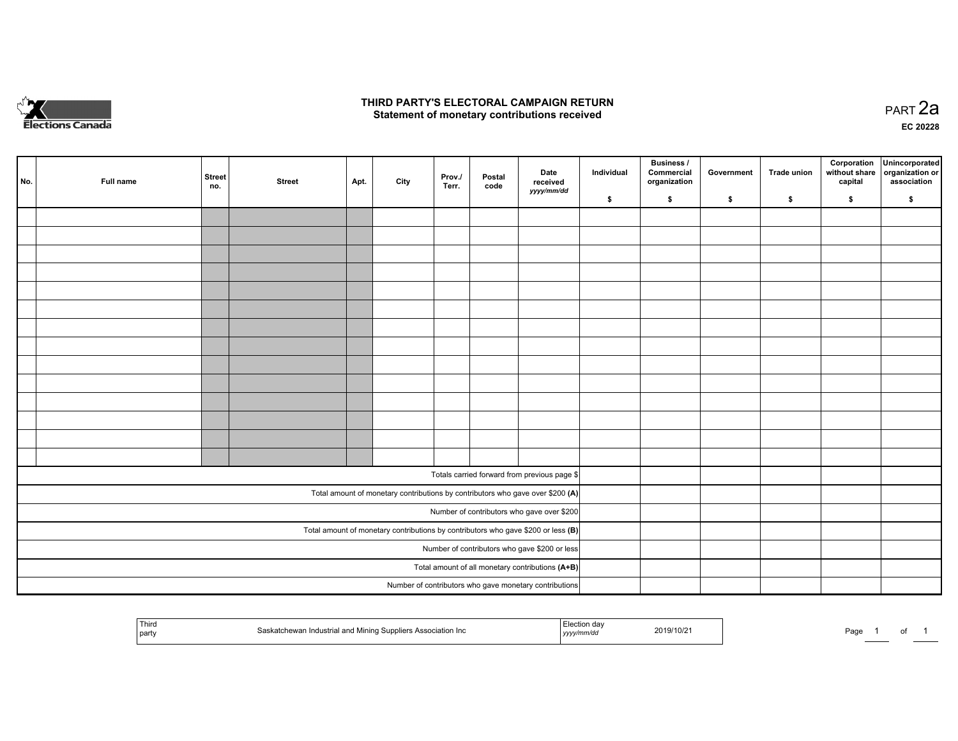

## **THIRD PARTY'S ELECTORAL CAMPAIGN RETURN HIRD PARTY'S ELECTORAL CAMPAIGN RETURN<br>Statement of monetary contributions received PART 2a PART 2a**

**EC 20228**

| No. | Full name | <b>Street</b><br>no. | <b>Street</b> | Apt. | City | Prov./<br>Terr. | Postal<br>code | Date<br>received                                                                    | Individual | <b>Business /</b><br>Commercial<br>organization | Government | Trade union | Corporation<br>without share<br>capital | Unincorporated<br>organization or<br>association |
|-----|-----------|----------------------|---------------|------|------|-----------------|----------------|-------------------------------------------------------------------------------------|------------|-------------------------------------------------|------------|-------------|-----------------------------------------|--------------------------------------------------|
|     |           |                      |               |      |      |                 |                | yyyy/mm/dd                                                                          | \$         | \$                                              | \$         | \$          | \$                                      | \$                                               |
|     |           |                      |               |      |      |                 |                |                                                                                     |            |                                                 |            |             |                                         |                                                  |
|     |           |                      |               |      |      |                 |                |                                                                                     |            |                                                 |            |             |                                         |                                                  |
|     |           |                      |               |      |      |                 |                |                                                                                     |            |                                                 |            |             |                                         |                                                  |
|     |           |                      |               |      |      |                 |                |                                                                                     |            |                                                 |            |             |                                         |                                                  |
|     |           |                      |               |      |      |                 |                |                                                                                     |            |                                                 |            |             |                                         |                                                  |
|     |           |                      |               |      |      |                 |                |                                                                                     |            |                                                 |            |             |                                         |                                                  |
|     |           |                      |               |      |      |                 |                |                                                                                     |            |                                                 |            |             |                                         |                                                  |
|     |           |                      |               |      |      |                 |                |                                                                                     |            |                                                 |            |             |                                         |                                                  |
|     |           |                      |               |      |      |                 |                |                                                                                     |            |                                                 |            |             |                                         |                                                  |
|     |           |                      |               |      |      |                 |                |                                                                                     |            |                                                 |            |             |                                         |                                                  |
|     |           |                      |               |      |      |                 |                |                                                                                     |            |                                                 |            |             |                                         |                                                  |
|     |           |                      |               |      |      |                 |                |                                                                                     |            |                                                 |            |             |                                         |                                                  |
|     |           |                      |               |      |      |                 |                |                                                                                     |            |                                                 |            |             |                                         |                                                  |
|     |           |                      |               |      |      |                 |                |                                                                                     |            |                                                 |            |             |                                         |                                                  |
|     |           |                      |               |      |      |                 |                | Totals carried forward from previous page \$                                        |            |                                                 |            |             |                                         |                                                  |
|     |           |                      |               |      |      |                 |                | Total amount of monetary contributions by contributors who gave over \$200 (A)      |            |                                                 |            |             |                                         |                                                  |
|     |           |                      |               |      |      |                 |                | Number of contributors who gave over \$200                                          |            |                                                 |            |             |                                         |                                                  |
|     |           |                      |               |      |      |                 |                | Total amount of monetary contributions by contributors who gave \$200 or less $(B)$ |            |                                                 |            |             |                                         |                                                  |
|     |           |                      |               |      |      |                 |                | Number of contributors who gave \$200 or less                                       |            |                                                 |            |             |                                         |                                                  |
|     |           |                      |               |      |      |                 |                | Total amount of all monetary contributions (A+B)                                    |            |                                                 |            |             |                                         |                                                  |
|     |           |                      |               |      |      |                 |                | Number of contributors who gave monetary contributions                              |            |                                                 |            |             |                                         |                                                  |

| ' Thira<br>.<br>ation Inc<br>a Associo"<br><b>IVIINING</b><br>part<br>−we | 2019/10/2<br>. <del>. .</del><br>,,,,, | Page | ັບເ |
|---------------------------------------------------------------------------|----------------------------------------|------|-----|
|---------------------------------------------------------------------------|----------------------------------------|------|-----|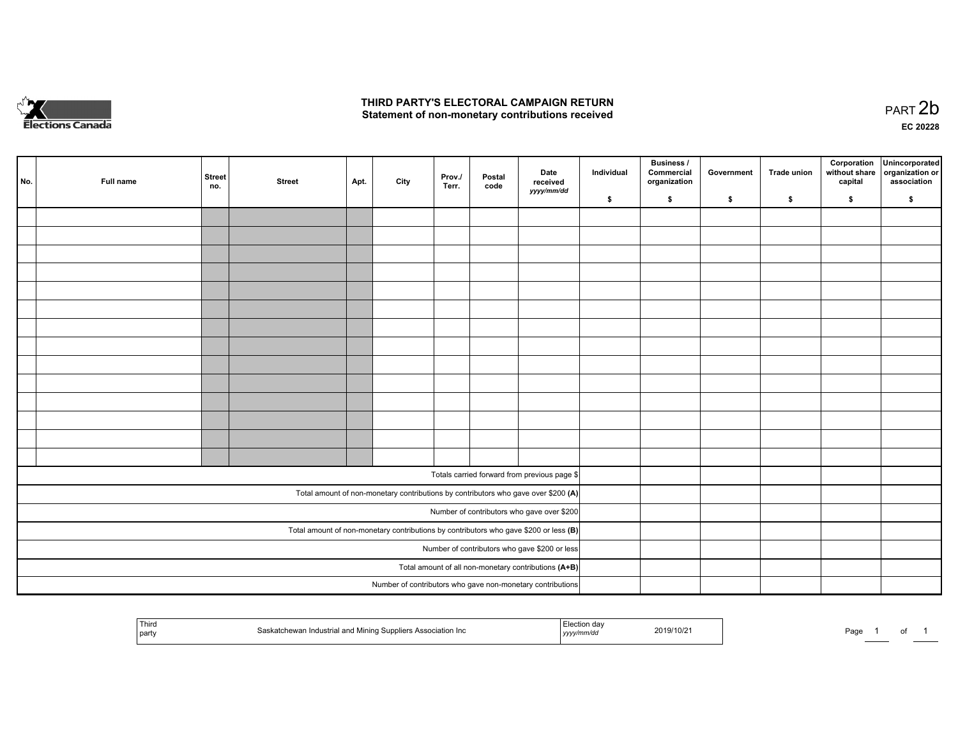

# **THIRD PARTY'S ELECTORAL CAMPAIGN RETURN**  THIRD PARTY'S ELECTORAL CAMPAIGN RETURN<br>Statement of non-monetary contributions received

| No. | Full name | Street<br>no. | <b>Street</b> | Apt. | City | Prov./<br>Terr. | Postal<br>code | Date<br>received<br>yyyy/mm/dd                                                          | Individual | <b>Business /</b><br>Commercial<br>organization | Government | Trade union | Corporation<br>without share<br>capital | Unincorporated<br>organization or<br>association |
|-----|-----------|---------------|---------------|------|------|-----------------|----------------|-----------------------------------------------------------------------------------------|------------|-------------------------------------------------|------------|-------------|-----------------------------------------|--------------------------------------------------|
|     |           |               |               |      |      |                 |                |                                                                                         | \$         | \$                                              | \$         | \$          | \$                                      | \$                                               |
|     |           |               |               |      |      |                 |                |                                                                                         |            |                                                 |            |             |                                         |                                                  |
|     |           |               |               |      |      |                 |                |                                                                                         |            |                                                 |            |             |                                         |                                                  |
|     |           |               |               |      |      |                 |                |                                                                                         |            |                                                 |            |             |                                         |                                                  |
|     |           |               |               |      |      |                 |                |                                                                                         |            |                                                 |            |             |                                         |                                                  |
|     |           |               |               |      |      |                 |                |                                                                                         |            |                                                 |            |             |                                         |                                                  |
|     |           |               |               |      |      |                 |                |                                                                                         |            |                                                 |            |             |                                         |                                                  |
|     |           |               |               |      |      |                 |                |                                                                                         |            |                                                 |            |             |                                         |                                                  |
|     |           |               |               |      |      |                 |                |                                                                                         |            |                                                 |            |             |                                         |                                                  |
|     |           |               |               |      |      |                 |                |                                                                                         |            |                                                 |            |             |                                         |                                                  |
|     |           |               |               |      |      |                 |                |                                                                                         |            |                                                 |            |             |                                         |                                                  |
|     |           |               |               |      |      |                 |                |                                                                                         |            |                                                 |            |             |                                         |                                                  |
|     |           |               |               |      |      |                 |                |                                                                                         |            |                                                 |            |             |                                         |                                                  |
|     |           |               |               |      |      |                 |                |                                                                                         |            |                                                 |            |             |                                         |                                                  |
|     |           |               |               |      |      |                 |                |                                                                                         |            |                                                 |            |             |                                         |                                                  |
|     |           |               |               |      |      |                 |                |                                                                                         |            |                                                 |            |             |                                         |                                                  |
|     |           |               |               |      |      |                 |                | Totals carried forward from previous page \$                                            |            |                                                 |            |             |                                         |                                                  |
|     |           |               |               |      |      |                 |                | Total amount of non-monetary contributions by contributors who gave over \$200 (A)      |            |                                                 |            |             |                                         |                                                  |
|     |           |               |               |      |      |                 |                | Number of contributors who gave over \$200                                              |            |                                                 |            |             |                                         |                                                  |
|     |           |               |               |      |      |                 |                | Total amount of non-monetary contributions by contributors who gave \$200 or less $(B)$ |            |                                                 |            |             |                                         |                                                  |
|     |           |               |               |      |      |                 |                | Number of contributors who gave \$200 or less                                           |            |                                                 |            |             |                                         |                                                  |
|     |           |               |               |      |      |                 |                | Total amount of all non-monetary contributions (A+B)                                    |            |                                                 |            |             |                                         |                                                  |
|     |           |               |               |      |      |                 |                | Number of contributors who gave non-monetary contributions                              |            |                                                 |            |             |                                         |                                                  |

| <sup>l</sup> Third<br>Inc.<br>'strial<br>mining<br>ASSOCIATION<br><sub>i</sub> part | 2019/10/2<br>,,,, | Page<br> |
|-------------------------------------------------------------------------------------|-------------------|----------|
|-------------------------------------------------------------------------------------|-------------------|----------|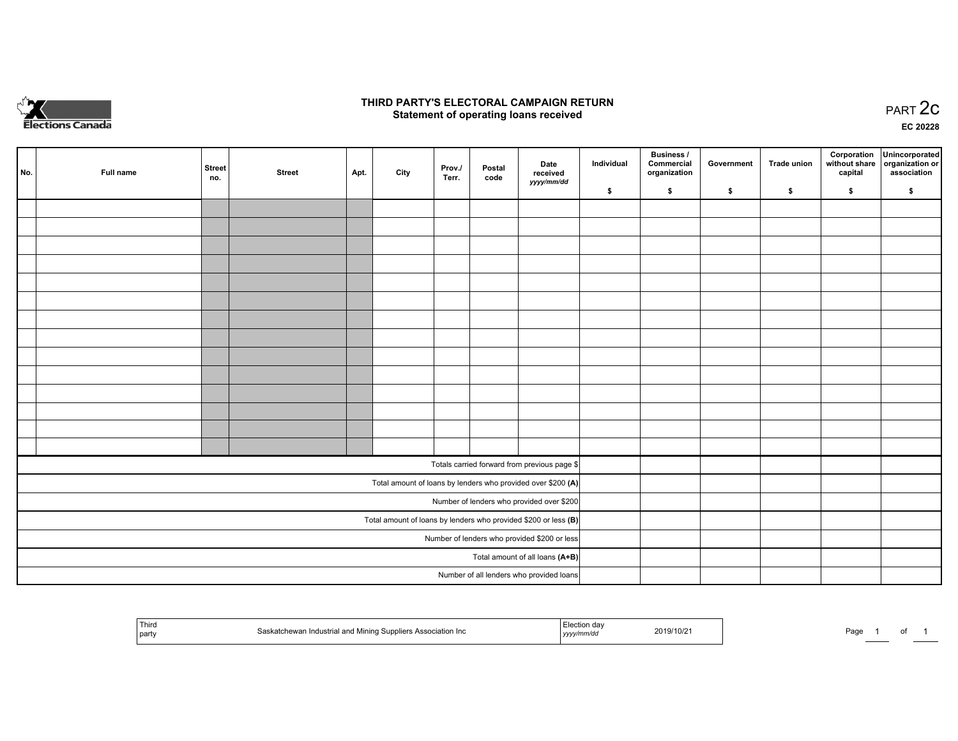

## **THIRD PARTY'S ELECTORAL CAMPAIGN RETURN STATE:** PRACT OF OPPRESS TO PART 2C STATE STATE STATE STATE STATE STATE STATE STATE STATE STATE STATE STATE STA<br>PART 2C Statement of operating loans received

**EC 20228**

| No. | Full name | <b>Street</b><br>no. | <b>Street</b> | Apt. | City | Prov./<br>Terr. | Postal<br>code | Date<br>received<br>yyyy/mm/dd                                  | Individual | Business /<br>Commercial<br>organization | Government | Trade union | capital | Corporation Unincorporated<br>without share organization or<br>association |
|-----|-----------|----------------------|---------------|------|------|-----------------|----------------|-----------------------------------------------------------------|------------|------------------------------------------|------------|-------------|---------|----------------------------------------------------------------------------|
|     |           |                      |               |      |      |                 |                |                                                                 | \$         | \$                                       | \$         | \$          | \$      | \$                                                                         |
|     |           |                      |               |      |      |                 |                |                                                                 |            |                                          |            |             |         |                                                                            |
|     |           |                      |               |      |      |                 |                |                                                                 |            |                                          |            |             |         |                                                                            |
|     |           |                      |               |      |      |                 |                |                                                                 |            |                                          |            |             |         |                                                                            |
|     |           |                      |               |      |      |                 |                |                                                                 |            |                                          |            |             |         |                                                                            |
|     |           |                      |               |      |      |                 |                |                                                                 |            |                                          |            |             |         |                                                                            |
|     |           |                      |               |      |      |                 |                |                                                                 |            |                                          |            |             |         |                                                                            |
|     |           |                      |               |      |      |                 |                |                                                                 |            |                                          |            |             |         |                                                                            |
|     |           |                      |               |      |      |                 |                |                                                                 |            |                                          |            |             |         |                                                                            |
|     |           |                      |               |      |      |                 |                |                                                                 |            |                                          |            |             |         |                                                                            |
|     |           |                      |               |      |      |                 |                |                                                                 |            |                                          |            |             |         |                                                                            |
|     |           |                      |               |      |      |                 |                |                                                                 |            |                                          |            |             |         |                                                                            |
|     |           |                      |               |      |      |                 |                |                                                                 |            |                                          |            |             |         |                                                                            |
|     |           |                      |               |      |      |                 |                |                                                                 |            |                                          |            |             |         |                                                                            |
|     |           |                      |               |      |      |                 |                |                                                                 |            |                                          |            |             |         |                                                                            |
|     |           |                      |               |      |      |                 |                | Totals carried forward from previous page \$                    |            |                                          |            |             |         |                                                                            |
|     |           |                      |               |      |      |                 |                | Total amount of loans by lenders who provided over \$200 (A)    |            |                                          |            |             |         |                                                                            |
|     |           |                      |               |      |      |                 |                | Number of lenders who provided over \$200                       |            |                                          |            |             |         |                                                                            |
|     |           |                      |               |      |      |                 |                | Total amount of loans by lenders who provided \$200 or less (B) |            |                                          |            |             |         |                                                                            |
|     |           |                      |               |      |      |                 |                | Number of lenders who provided \$200 or less                    |            |                                          |            |             |         |                                                                            |
|     |           |                      |               |      |      |                 |                | Total amount of all loans (A+B)                                 |            |                                          |            |             |         |                                                                            |
|     |           |                      |               |      |      |                 |                | Number of all lenders who provided loans                        |            |                                          |            |             |         |                                                                            |

|  | Third<br>d Mining Suppliers Association Inc.<br>Saskatchewan Industrial and<br>  party | ı da'<br>2019/10/2<br>, уууулт | Page<br> |
|--|----------------------------------------------------------------------------------------|--------------------------------|----------|
|--|----------------------------------------------------------------------------------------|--------------------------------|----------|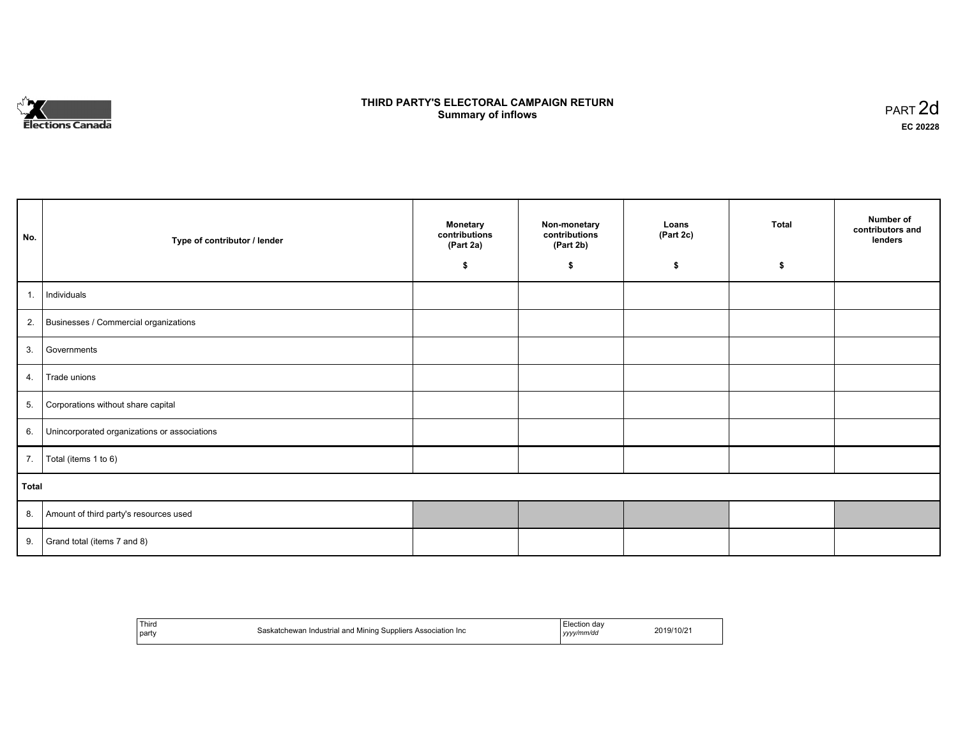

# **THIRD PARTY'S ELECTORAL CAMPAIGN RETURN S** ELECTORAL CAMPAIGN RETURN<br>Summary of inflows PART 2d

| No.   | Type of contributor / lender                    | <b>Monetary</b><br>contributions<br>(Part 2a) | Non-monetary<br>contributions<br>(Part 2b) | Loans<br>(Part 2c) | <b>Total</b> | Number of<br>contributors and<br>lenders |
|-------|-------------------------------------------------|-----------------------------------------------|--------------------------------------------|--------------------|--------------|------------------------------------------|
|       |                                                 | \$                                            | \$                                         | \$                 | \$           |                                          |
| 1.    | Individuals                                     |                                               |                                            |                    |              |                                          |
|       | 2. Businesses / Commercial organizations        |                                               |                                            |                    |              |                                          |
| 3.    | Governments                                     |                                               |                                            |                    |              |                                          |
| 4.    | Trade unions                                    |                                               |                                            |                    |              |                                          |
|       | 5. Corporations without share capital           |                                               |                                            |                    |              |                                          |
|       | 6. Unincorporated organizations or associations |                                               |                                            |                    |              |                                          |
|       | 7.   Total (items 1 to 6)                       |                                               |                                            |                    |              |                                          |
| Total |                                                 |                                               |                                            |                    |              |                                          |
|       | 8. Amount of third party's resources used       |                                               |                                            |                    |              |                                          |
| 9.    | Grand total (items 7 and 8)                     |                                               |                                            |                    |              |                                          |

| Third<br>party | 1 Industrial and Mining Suppliers Association Inc<br>'substack<br>saskatchewan | ∹lection dav<br>vv/mm/dd<br>100 | 19/10/2 |
|----------------|--------------------------------------------------------------------------------|---------------------------------|---------|
|----------------|--------------------------------------------------------------------------------|---------------------------------|---------|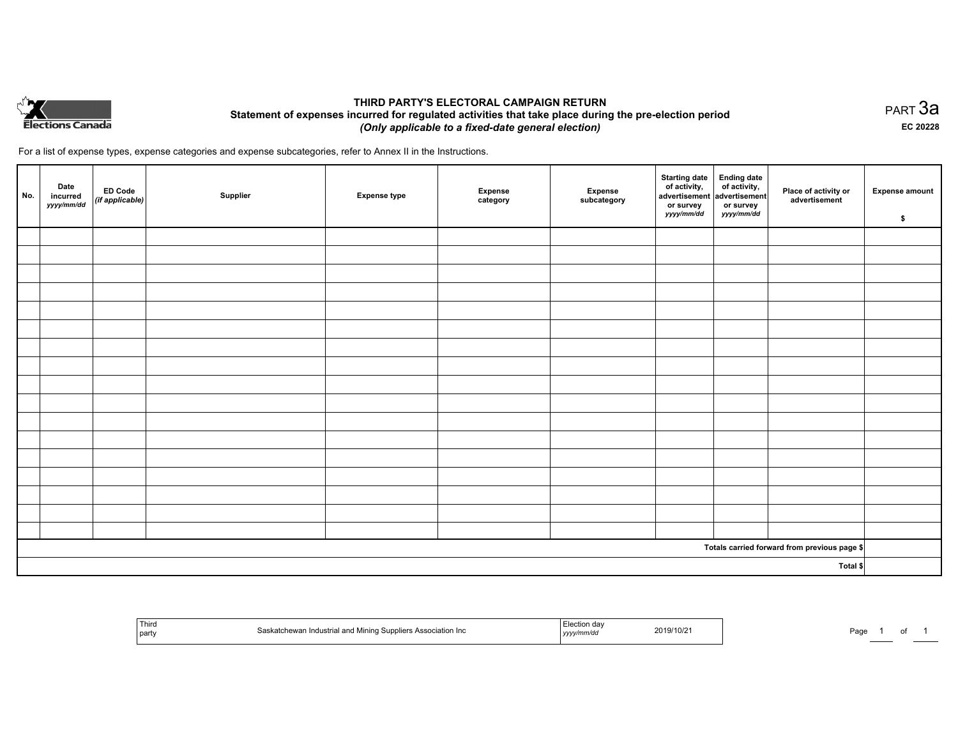

## **THIRD PARTY'S ELECTORAL CAMPAIGN RETURN Statement of expenses incurred for regulated activities that take place during the pre-election period**  *(Only applicable to a fixed-date general election)*

For a list of expense types, expense categories and expense subcategories, refer to Annex II in the Instructions.

| No. | Date<br>incurred<br>yyyy/mm/dd | <b>ED Code</b><br>(if applicable) | Supplier | <b>Expense type</b> | Expense<br>category | Expense<br>subcategory | <b>Starting date</b><br>of activity,<br>advertisement<br>or survey<br>yyyy/mm/dd | Ending date<br>of activity,<br>advertisement<br>or survey<br>yyyy/mm/dd | Place of activity or<br>advertisement        | <b>Expense amount</b><br>\$ |
|-----|--------------------------------|-----------------------------------|----------|---------------------|---------------------|------------------------|----------------------------------------------------------------------------------|-------------------------------------------------------------------------|----------------------------------------------|-----------------------------|
|     |                                |                                   |          |                     |                     |                        |                                                                                  |                                                                         |                                              |                             |
|     |                                |                                   |          |                     |                     |                        |                                                                                  |                                                                         |                                              |                             |
|     |                                |                                   |          |                     |                     |                        |                                                                                  |                                                                         |                                              |                             |
|     |                                |                                   |          |                     |                     |                        |                                                                                  |                                                                         |                                              |                             |
|     |                                |                                   |          |                     |                     |                        |                                                                                  |                                                                         |                                              |                             |
|     |                                |                                   |          |                     |                     |                        |                                                                                  |                                                                         |                                              |                             |
|     |                                |                                   |          |                     |                     |                        |                                                                                  |                                                                         |                                              |                             |
|     |                                |                                   |          |                     |                     |                        |                                                                                  |                                                                         |                                              |                             |
|     |                                |                                   |          |                     |                     |                        |                                                                                  |                                                                         |                                              |                             |
|     |                                |                                   |          |                     |                     |                        |                                                                                  |                                                                         |                                              |                             |
|     |                                |                                   |          |                     |                     |                        |                                                                                  |                                                                         |                                              |                             |
|     |                                |                                   |          |                     |                     |                        |                                                                                  |                                                                         |                                              |                             |
|     |                                |                                   |          |                     |                     |                        |                                                                                  |                                                                         |                                              |                             |
|     |                                |                                   |          |                     |                     |                        |                                                                                  |                                                                         |                                              |                             |
|     |                                |                                   |          |                     |                     |                        |                                                                                  |                                                                         |                                              |                             |
|     |                                |                                   |          |                     |                     |                        |                                                                                  |                                                                         |                                              |                             |
|     |                                |                                   |          |                     |                     |                        |                                                                                  |                                                                         |                                              |                             |
|     |                                |                                   |          |                     |                     |                        |                                                                                  |                                                                         | Totals carried forward from previous page \$ |                             |
|     |                                |                                   |          |                     |                     |                        |                                                                                  |                                                                         | Total \$                                     |                             |

| Third<br>  part | d Mining Suppliers Association Inc.<br>Industrial and<br>hewai | 019/10/21<br>20 I.Y<br>.<br>, уууулт | ⊃ag⊾ |
|-----------------|----------------------------------------------------------------|--------------------------------------|------|
|-----------------|----------------------------------------------------------------|--------------------------------------|------|

PART 3a **EC 20228**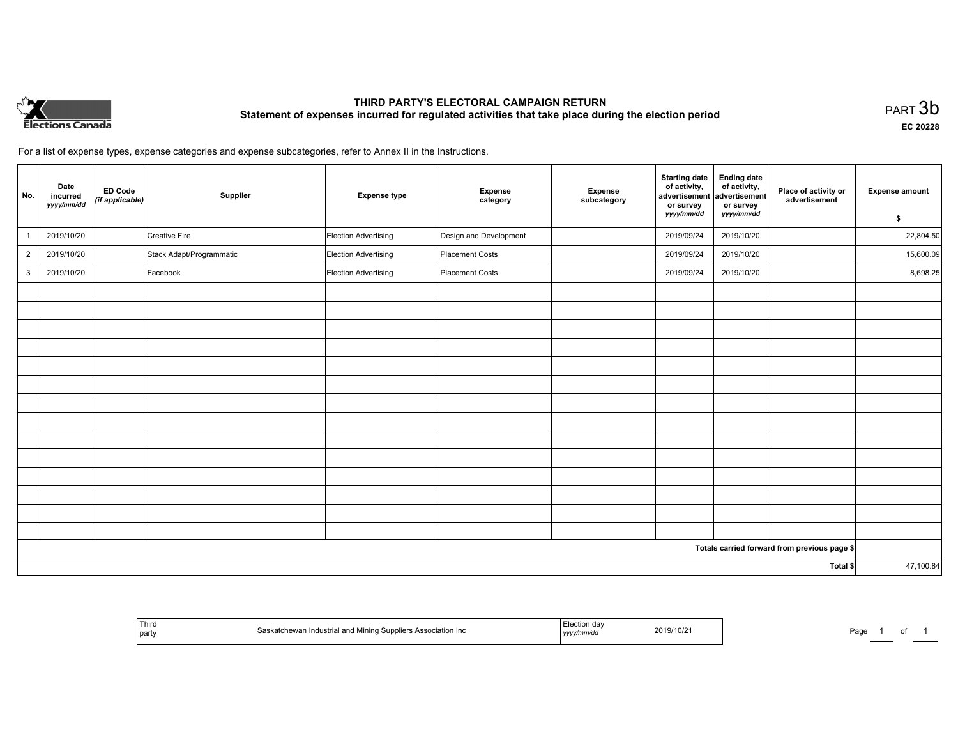

# **THIRD PARTY'S ELECTORAL CAMPAIGN RETURN Statement of expenses incurred for regulated activities that take place during the election period**<br>PART  $3b$

**EC 20228**

For a list of expense types, expense categories and expense subcategories, refer to Annex II in the Instructions.

| No.            | Date<br>incurred<br>yyyy/mm/dd | <b>ED Code</b><br>(if applicable) | Supplier                 | <b>Expense type</b>         | <b>Expense</b><br>category | Expense<br>subcategory | <b>Starting date</b><br>of activity,<br>advertisement<br>or survey | <b>Ending date</b><br>of activity,<br>advertisement<br>or survey | Place of activity or<br>advertisement        | <b>Expense amount</b> |
|----------------|--------------------------------|-----------------------------------|--------------------------|-----------------------------|----------------------------|------------------------|--------------------------------------------------------------------|------------------------------------------------------------------|----------------------------------------------|-----------------------|
|                |                                |                                   |                          |                             |                            |                        | yyyy/mm/dd                                                         | yyyy/mm/dd                                                       |                                              | \$                    |
|                | 2019/10/20                     |                                   | <b>Creative Fire</b>     | Election Advertising        | Design and Development     |                        | 2019/09/24                                                         | 2019/10/20                                                       |                                              | 22,804.50             |
| $\overline{2}$ | 2019/10/20                     |                                   | Stack Adapt/Programmatic | <b>Election Advertising</b> | Placement Costs            |                        | 2019/09/24                                                         | 2019/10/20                                                       |                                              | 15,600.09             |
| $\mathbf{3}$   | 2019/10/20                     |                                   | Facebook                 | Election Advertising        | Placement Costs            |                        | 2019/09/24                                                         | 2019/10/20                                                       |                                              | 8,698.25              |
|                |                                |                                   |                          |                             |                            |                        |                                                                    |                                                                  |                                              |                       |
|                |                                |                                   |                          |                             |                            |                        |                                                                    |                                                                  |                                              |                       |
|                |                                |                                   |                          |                             |                            |                        |                                                                    |                                                                  |                                              |                       |
|                |                                |                                   |                          |                             |                            |                        |                                                                    |                                                                  |                                              |                       |
|                |                                |                                   |                          |                             |                            |                        |                                                                    |                                                                  |                                              |                       |
|                |                                |                                   |                          |                             |                            |                        |                                                                    |                                                                  |                                              |                       |
|                |                                |                                   |                          |                             |                            |                        |                                                                    |                                                                  |                                              |                       |
|                |                                |                                   |                          |                             |                            |                        |                                                                    |                                                                  |                                              |                       |
|                |                                |                                   |                          |                             |                            |                        |                                                                    |                                                                  |                                              |                       |
|                |                                |                                   |                          |                             |                            |                        |                                                                    |                                                                  |                                              |                       |
|                |                                |                                   |                          |                             |                            |                        |                                                                    |                                                                  |                                              |                       |
|                |                                |                                   |                          |                             |                            |                        |                                                                    |                                                                  |                                              |                       |
|                |                                |                                   |                          |                             |                            |                        |                                                                    |                                                                  |                                              |                       |
|                |                                |                                   |                          |                             |                            |                        |                                                                    |                                                                  |                                              |                       |
|                |                                |                                   |                          |                             |                            |                        |                                                                    |                                                                  | Totals carried forward from previous page \$ |                       |
| Total \$       |                                |                                   |                          |                             |                            |                        | 47,100.84                                                          |                                                                  |                                              |                       |

| Third<br>ssociation Inc.<br>10.5332<br>. DAMO.<br>μαι ι | 2019/10/2<br>, <i>yyyyr</i> | ⊶⊏<br>'au<br>- - |
|---------------------------------------------------------|-----------------------------|------------------|
|---------------------------------------------------------|-----------------------------|------------------|